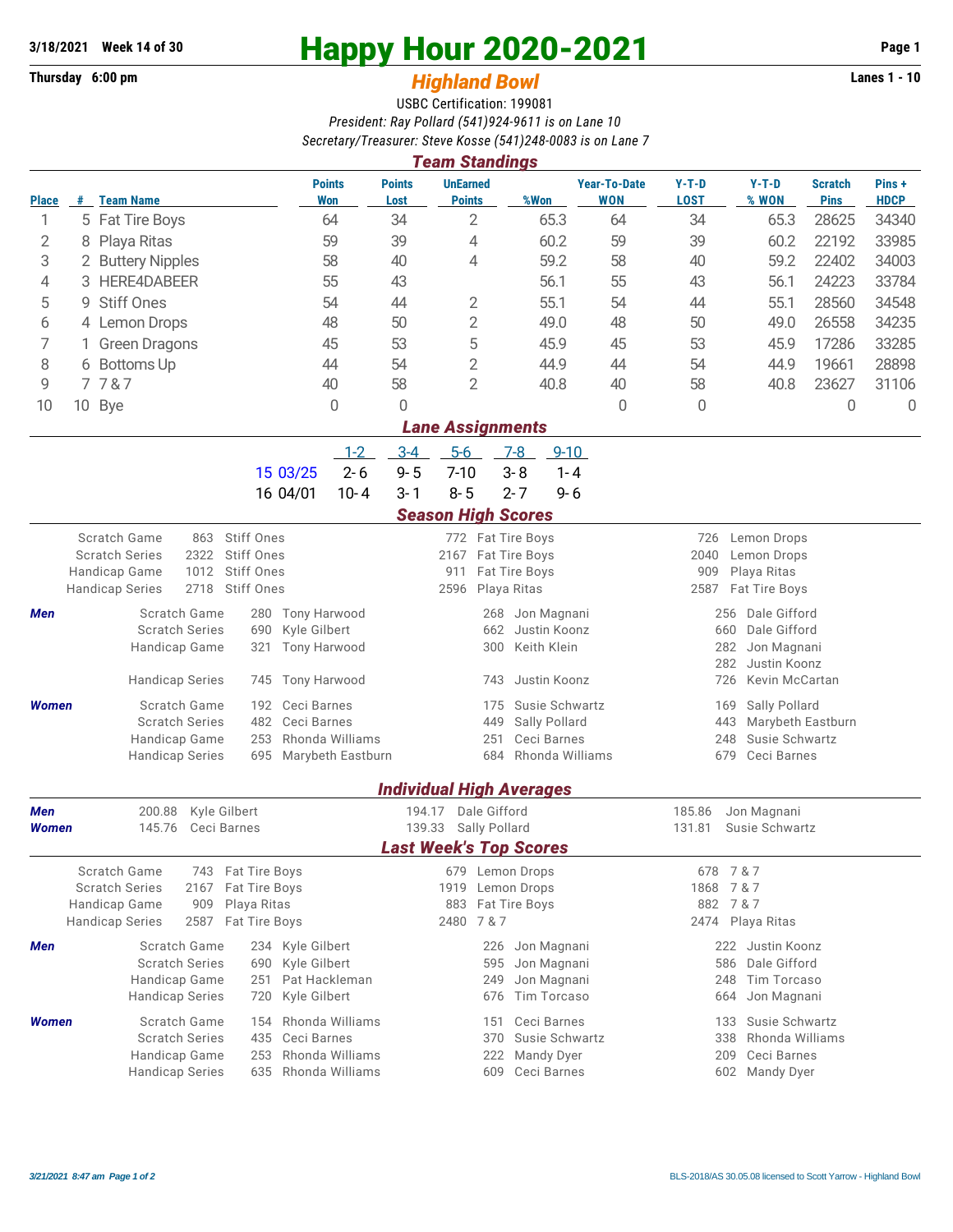## **Thursday 6:00 pm** *Highland Bowl* **Lanes 1 - 10**

## **3/18/2021 Week 14 of 30 Happy Hour 2020-2021 Page 1**

## USBC Certification: 199081 *President: Ray Pollard (541)924-9611 is on Lane 10 Secretary/Treasurer: Steve Kosse (541)248-0083 is on Lane 7*

| <b>Team Standings</b> |                         |                                                             |                                 |                                                        |                                                                         |                                  |                                 |                                   |                          |                                                 |                               |                      |  |  |
|-----------------------|-------------------------|-------------------------------------------------------------|---------------------------------|--------------------------------------------------------|-------------------------------------------------------------------------|----------------------------------|---------------------------------|-----------------------------------|--------------------------|-------------------------------------------------|-------------------------------|----------------------|--|--|
| <b>Place</b>          |                         | # Team Name                                                 |                                 | <b>Points</b><br>Won                                   | <b>Points</b><br>Lost                                                   | <b>UnEarned</b><br><b>Points</b> | %Won                            | <b>Year-To-Date</b><br><b>WON</b> | $Y-T-D$<br><b>LOST</b>   | $Y-T-D$<br>% WON                                | <b>Scratch</b><br><b>Pins</b> | Pins+<br><b>HDCP</b> |  |  |
| 1                     |                         | 5 Fat Tire Boys                                             |                                 | 64                                                     | 34                                                                      | $\overline{2}$                   | 65.3                            | 64                                | 34                       | 65.3                                            | 28625                         | 34340                |  |  |
| 2                     | 8                       | Playa Ritas                                                 |                                 | 59                                                     | 39                                                                      | 4                                | 60.2                            | 59                                | 39                       | 60.2                                            | 22192                         | 33985                |  |  |
| 3                     |                         | 2 Buttery Nipples                                           |                                 | 58                                                     | 40                                                                      | 4                                | 59.2                            | 58                                | 40                       | 59.2                                            | 22402                         | 34003                |  |  |
| 4                     | 3                       | <b>HERE4DABEER</b>                                          |                                 | 55                                                     | 43                                                                      |                                  | 56.1                            | 55                                | 43                       | 56.1                                            | 24223                         | 33784                |  |  |
| 5                     | 9                       | <b>Stiff Ones</b>                                           |                                 | 54                                                     | 44                                                                      | $\mathbf{2}$                     | 55.1                            | 54                                | 44                       | 55.1                                            | 28560                         | 34548                |  |  |
| 6                     |                         | 4 Lemon Drops                                               |                                 | 48                                                     | 50                                                                      | $\overline{2}$                   | 49.0                            | 48                                | 50                       | 49.0                                            | 26558                         | 34235                |  |  |
| 7                     |                         | <b>Green Dragons</b>                                        |                                 | 45                                                     | 53                                                                      | 5                                | 45.9                            | 45                                | 53                       | 45.9                                            | 17286                         | 33285                |  |  |
| 8                     |                         | 6 Bottoms Up                                                |                                 | 44                                                     | 54                                                                      | $\overline{2}$                   | 44.9                            | 44                                | 54                       | 44.9                                            | 19661                         | 28898                |  |  |
| 9                     |                         | 7787                                                        |                                 | 40                                                     | 58                                                                      | $\overline{2}$                   | 40.8                            | 40                                | 58                       | 40.8                                            | 23627                         | 31106                |  |  |
| 10                    |                         | 10 Bye                                                      |                                 | $\mathbf 0$                                            | 0                                                                       |                                  |                                 | 0                                 | 0                        |                                                 | 0                             | $\overline{0}$       |  |  |
|                       | <b>Lane Assignments</b> |                                                             |                                 |                                                        |                                                                         |                                  |                                 |                                   |                          |                                                 |                               |                      |  |  |
|                       |                         |                                                             |                                 | $1 - 2$                                                | $3-4$                                                                   | $5-6$                            | $7-8$                           | $9 - 10$                          |                          |                                                 |                               |                      |  |  |
|                       |                         |                                                             | 15 03/25                        | $2 - 6$                                                | $9 - 5$                                                                 | $7 - 10$                         | $3 - 8$                         | $1 - 4$                           |                          |                                                 |                               |                      |  |  |
|                       |                         |                                                             | 16 04/01                        | $10 - 4$                                               | $3 - 1$                                                                 | $8 - 5$                          | $2 - 7$                         | $9 - 6$                           |                          |                                                 |                               |                      |  |  |
|                       |                         |                                                             |                                 |                                                        |                                                                         | <b>Season High Scores</b>        |                                 |                                   |                          |                                                 |                               |                      |  |  |
|                       |                         | <b>Scratch Game</b><br>863<br>2322<br><b>Scratch Series</b> | <b>Stiff Ones</b><br>Stiff Ones | 772 Fat Tire Boys<br>726<br>2167 Fat Tire Boys<br>2040 |                                                                         |                                  |                                 |                                   |                          | Lemon Drops<br>Lemon Drops                      |                               |                      |  |  |
|                       |                         | Handicap Game<br>1012                                       | <b>Stiff Ones</b>               |                                                        |                                                                         | Fat Tire Boys<br>911             |                                 |                                   |                          | 909<br>Playa Ritas                              |                               |                      |  |  |
|                       |                         | 2718<br><b>Handicap Series</b>                              | Stiff Ones                      | 2596<br>Playa Ritas                                    |                                                                         |                                  |                                 |                                   | 2587<br>Fat Tire Boys    |                                                 |                               |                      |  |  |
| Men                   | Scratch Game<br>280     |                                                             |                                 | Tony Harwood<br>Jon Magnani<br>268                     |                                                                         |                                  |                                 |                                   | Dale Gifford<br>256      |                                                 |                               |                      |  |  |
|                       |                         | <b>Scratch Series</b>                                       | 690                             | Kyle Gilbert                                           |                                                                         | 662                              | Justin Koonz                    |                                   |                          | 660<br>Dale Gifford                             |                               |                      |  |  |
|                       |                         | Handicap Game                                               | 321                             | Keith Klein<br><b>Tony Harwood</b><br>300              |                                                                         |                                  |                                 |                                   |                          | 282<br>Jon Magnani<br>282<br>Justin Koonz       |                               |                      |  |  |
|                       |                         | <b>Handicap Series</b>                                      | 745                             | <b>Tony Harwood</b>                                    | Justin Koonz<br>726<br>Kevin McCartan<br>743                            |                                  |                                 |                                   |                          |                                                 |                               |                      |  |  |
| <b>Women</b>          |                         | Scratch Game                                                | 192                             | Ceci Barnes                                            |                                                                         | 175                              | Susie Schwartz                  |                                   |                          | Sally Pollard<br>169                            |                               |                      |  |  |
|                       |                         | <b>Scratch Series</b>                                       | 482                             | Ceci Barnes                                            | 449<br>Sally Pollard                                                    |                                  |                                 |                                   |                          | 443<br>Marybeth Eastburn                        |                               |                      |  |  |
|                       |                         | Handicap Game                                               | 253                             | Rhonda Williams                                        |                                                                         | 251                              | Ceci Barnes                     |                                   |                          | Susie Schwartz<br>248                           |                               |                      |  |  |
|                       |                         | <b>Handicap Series</b>                                      | 695                             | Marybeth Eastburn                                      |                                                                         | 684                              | Rhonda Williams                 |                                   | Ceci Barnes<br>679       |                                                 |                               |                      |  |  |
|                       |                         |                                                             |                                 |                                                        |                                                                         |                                  | <b>Individual High Averages</b> |                                   |                          |                                                 |                               |                      |  |  |
| <b>Men</b>            |                         | Kyle Gilbert<br>200.88                                      |                                 |                                                        | 194.17                                                                  | Dale Gifford                     |                                 |                                   | 185.86                   | Jon Magnani                                     |                               |                      |  |  |
| <b>Women</b>          |                         | 145.76<br>Ceci Barnes                                       |                                 |                                                        |                                                                         | 139.33<br>Sally Pollard          |                                 |                                   | 131.81<br>Susie Schwartz |                                                 |                               |                      |  |  |
|                       |                         |                                                             |                                 |                                                        |                                                                         |                                  | <b>Last Week's Top Scores</b>   |                                   |                          |                                                 |                               |                      |  |  |
|                       |                         | <b>Scratch Game</b><br>743<br><b>Scratch Series</b><br>2167 | Fat Tire Boys<br>Fat Tire Boys  |                                                        |                                                                         | 1919 Lemon Drops                 | 679 Lemon Drops                 |                                   | 1868                     | 678 7 & 7<br>7 & 7                              |                               |                      |  |  |
|                       |                         | Handicap Game<br>909                                        | Playa Ritas                     |                                                        |                                                                         |                                  | 883 Fat Tire Boys               |                                   |                          | 882 7 & 7                                       |                               |                      |  |  |
|                       |                         | <b>Handicap Series</b><br>2587<br>Fat Tire Boys             |                                 |                                                        |                                                                         | 2480 7 & 7                       |                                 |                                   |                          | 2474 Playa Ritas                                |                               |                      |  |  |
| Men                   |                         | Scratch Game                                                | Kyle Gilbert<br>234             |                                                        |                                                                         | 226                              | Jon Magnani                     |                                   |                          | 222 Justin Koonz                                |                               |                      |  |  |
|                       |                         | <b>Scratch Series</b>                                       | 690                             | Kyle Gilbert                                           |                                                                         | 595                              | Jon Magnani                     |                                   |                          | Dale Gifford<br>586                             |                               |                      |  |  |
|                       |                         | Handicap Game<br><b>Handicap Series</b>                     | 251<br>720                      | Pat Hackleman<br>Kyle Gilbert                          |                                                                         | 249<br>676                       | Jon Magnani<br>Tim Torcaso      |                                   |                          | 248<br><b>Tim Torcaso</b><br>664<br>Jon Magnani |                               |                      |  |  |
|                       |                         |                                                             |                                 |                                                        |                                                                         |                                  |                                 |                                   |                          |                                                 |                               |                      |  |  |
| <b>Women</b>          |                         | Scratch Game<br><b>Scratch Series</b>                       | 154<br>435                      | Rhonda Williams<br>Ceci Barnes                         |                                                                         | 151                              | Ceci Barnes                     |                                   |                          | Susie Schwartz<br>133<br>Rhonda Williams        |                               |                      |  |  |
|                       |                         | Handicap Game                                               | 253                             | Rhonda Williams                                        | 370<br>Susie Schwartz<br>338<br>Ceci Barnes<br>222<br>Mandy Dyer<br>209 |                                  |                                 |                                   |                          |                                                 |                               |                      |  |  |
|                       |                         | <b>Handicap Series</b>                                      | 635                             | Rhonda Williams                                        |                                                                         | 609                              | Ceci Barnes                     |                                   |                          | 602 Mandy Dyer                                  |                               |                      |  |  |